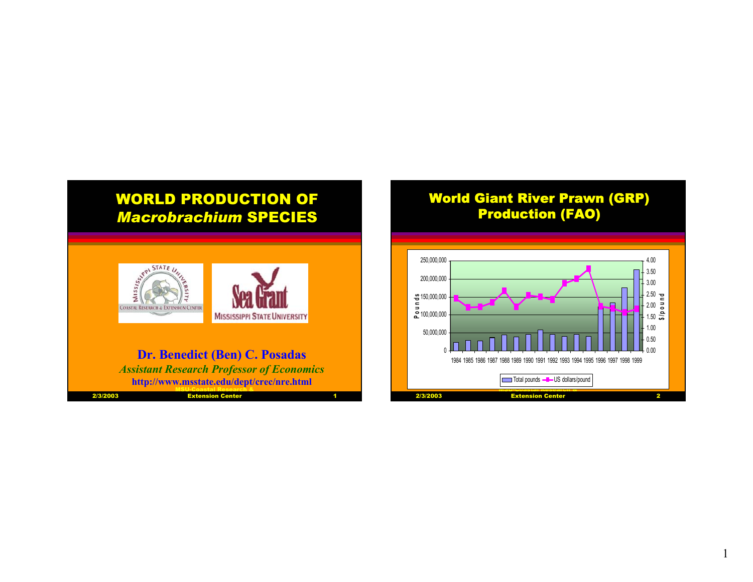

## World Giant River Prawn (GRP) Production (FAO)

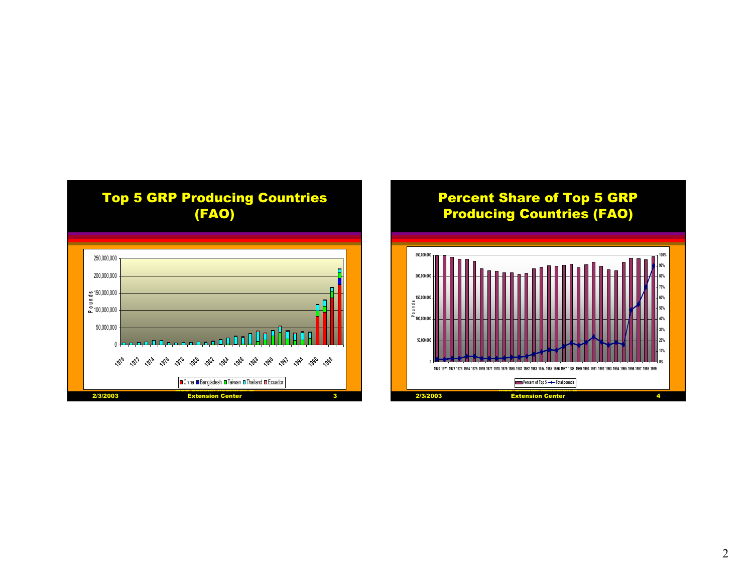

## Percent Share of Top 5 GRP Producing Countries (FAO)